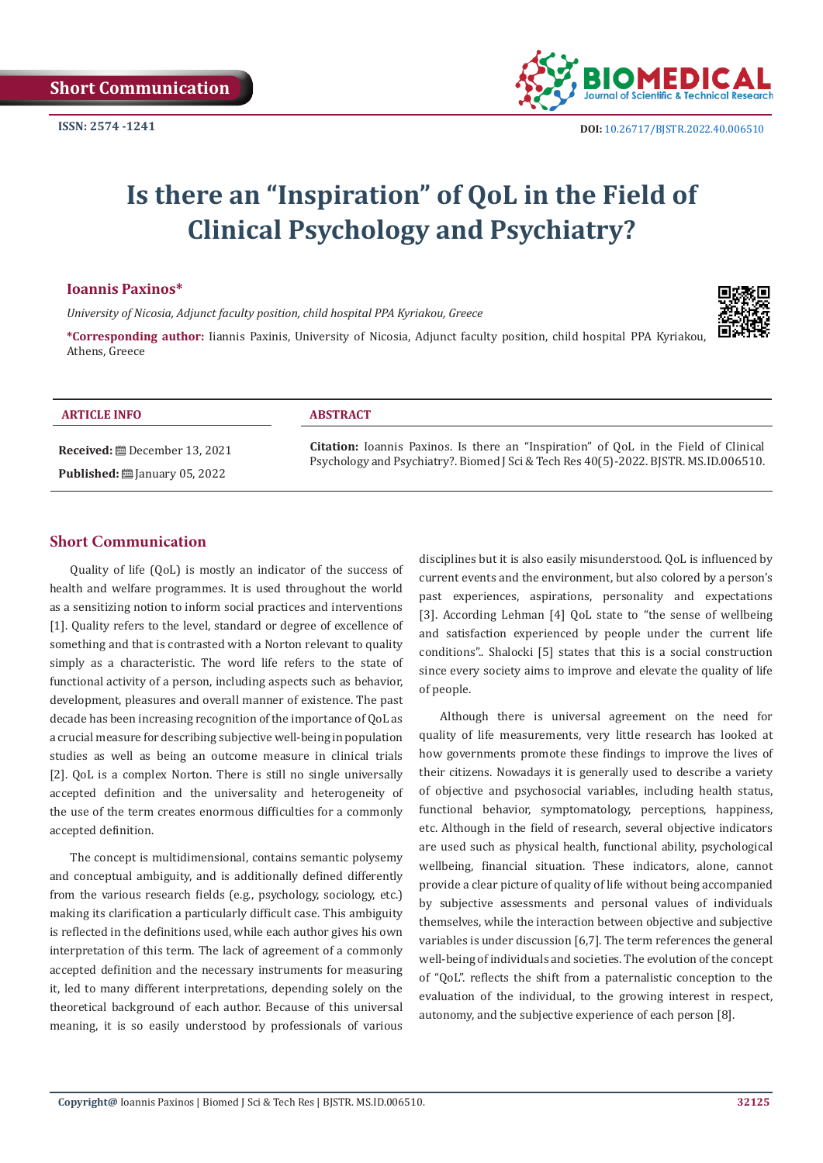

# **Is there an "Inspiration" of QoL in the Field of Clinical Psychology and Psychiatry?**

### **Ioannis Paxinos\***

*University of Nicosia, Adjunct faculty position, child hospital PPA Kyriakou, Greece*



**\*Corresponding author:** Iiannis Paxinis, University of Nicosia, Adjunct faculty position, child hospital PPA Kyriakou, Athens, Greece

| <b>ARTICLE INFO</b>                             | <b>ABSTRACT</b>                                                                      |
|-------------------------------------------------|--------------------------------------------------------------------------------------|
|                                                 | Citation: Ioannis Paxinos. Is there an "Inspiration" of QoL in the Field of Clinical |
| <b>Published:</b> $\ddot{\Xi}$ January 05, 2022 | Psychology and Psychiatry?. Biomed J Sci & Tech Res 40(5)-2022. BJSTR. MS.ID.006510. |

# **Short Communication**

Quality of life (QoL) is mostly an indicator of the success of health and welfare programmes. It is used throughout the world as a sensitizing notion to inform social practices and interventions [1]. Quality refers to the level, standard or degree of excellence of something and that is contrasted with a Norton relevant to quality simply as a characteristic. The word life refers to the state of functional activity of a person, including aspects such as behavior, development, pleasures and overall manner of existence. The past decade has been increasing recognition of the importance of QoL as a crucial measure for describing subjective well-being in population studies as well as being an outcome measure in clinical trials [2]. QoL is a complex Norton. There is still no single universally accepted definition and the universality and heterogeneity of the use of the term creates enormous difficulties for a commonly accepted definition.

The concept is multidimensional, contains semantic polysemy and conceptual ambiguity, and is additionally defined differently from the various research fields (e.g., psychology, sociology, etc.) making its clarification a particularly difficult case. This ambiguity is reflected in the definitions used, while each author gives his own interpretation of this term. The lack of agreement of a commonly accepted definition and the necessary instruments for measuring it, led to many different interpretations, depending solely on the theoretical background of each author. Because of this universal meaning, it is so easily understood by professionals of various

disciplines but it is also easily misunderstood. QoL is influenced by current events and the environment, but also colored by a person's past experiences, aspirations, personality and expectations [3]. According Lehman [4] QoL state to "the sense of wellbeing and satisfaction experienced by people under the current life conditions".. Shalocki [5] states that this is a social construction since every society aims to improve and elevate the quality of life of people.

Although there is universal agreement on the need for quality of life measurements, very little research has looked at how governments promote these findings to improve the lives of their citizens. Nowadays it is generally used to describe a variety of objective and psychosocial variables, including health status, functional behavior, symptomatology, perceptions, happiness, etc. Although in the field of research, several objective indicators are used such as physical health, functional ability, psychological wellbeing, financial situation. These indicators, alone, cannot provide a clear picture of quality of life without being accompanied by subjective assessments and personal values of individuals themselves, while the interaction between objective and subjective variables is under discussion [6,7]. The term references the general well-being of individuals and societies. The evolution of the concept of "QoL". reflects the shift from a paternalistic conception to the evaluation of the individual, to the growing interest in respect, autonomy, and the subjective experience of each person [8].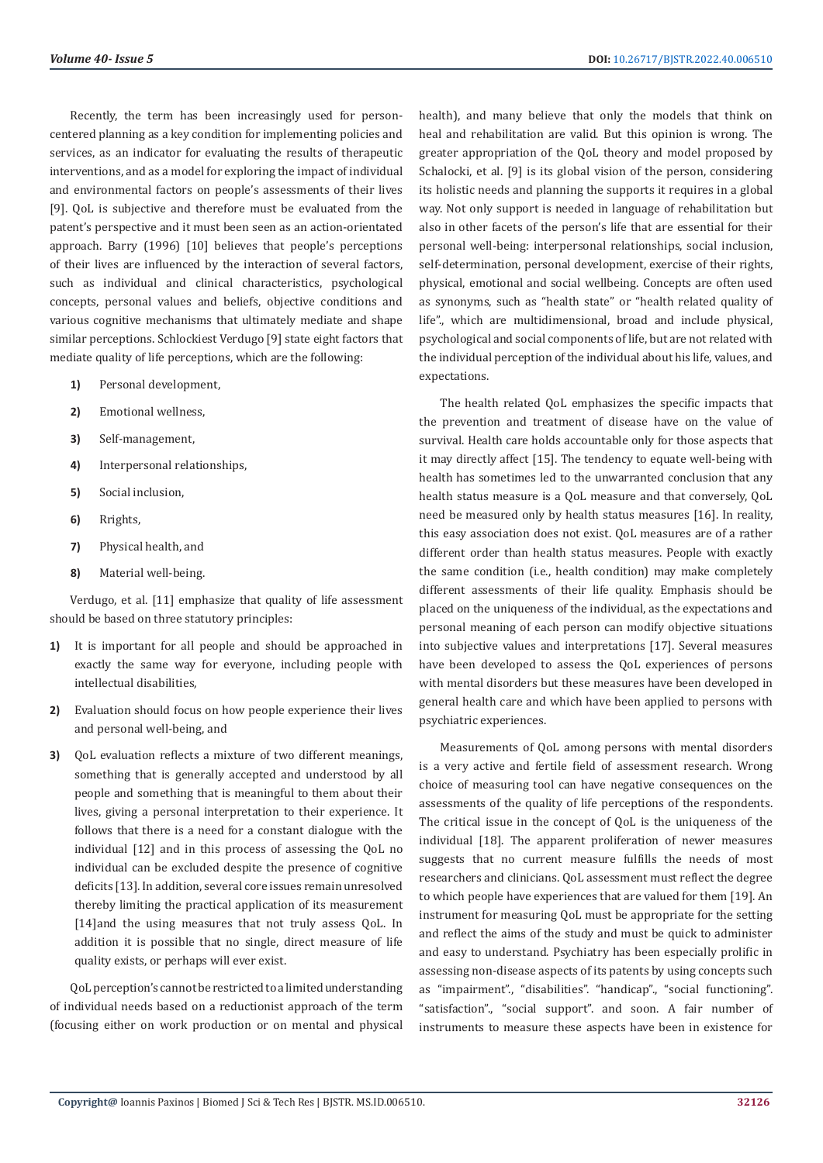Recently, the term has been increasingly used for personcentered planning as a key condition for implementing policies and services, as an indicator for evaluating the results of therapeutic interventions, and as a model for exploring the impact of individual and environmental factors on people's assessments of their lives [9]. QoL is subjective and therefore must be evaluated from the patent's perspective and it must been seen as an action-orientated approach. Barry (1996) [10] believes that people's perceptions of their lives are influenced by the interaction of several factors, such as individual and clinical characteristics, psychological concepts, personal values and beliefs, objective conditions and various cognitive mechanisms that ultimately mediate and shape similar perceptions. Schlockiest Verdugo [9] state eight factors that mediate quality of life perceptions, which are the following:

- **1)** Personal development,
- **2)** Emotional wellness,
- **3)** Self-management,
- **4)** Interpersonal relationships,
- **5)** Social inclusion,
- **6)** Rrights,
- **7)** Physical health, and
- **8)** Material well-being.

Verdugo, et al. [11] emphasize that quality of life assessment should be based on three statutory principles:

- **1)** It is important for all people and should be approached in exactly the same way for everyone, including people with intellectual disabilities,
- **2)** Evaluation should focus on how people experience their lives and personal well-being, and
- **3)** QoL evaluation reflects a mixture of two different meanings, something that is generally accepted and understood by all people and something that is meaningful to them about their lives, giving a personal interpretation to their experience. It follows that there is a need for a constant dialogue with the individual [12] and in this process of assessing the QoL no individual can be excluded despite the presence of cognitive deficits [13]. In addition, several core issues remain unresolved thereby limiting the practical application of its measurement [14]and the using measures that not truly assess QoL. In addition it is possible that no single, direct measure of life quality exists, or perhaps will ever exist.

QoL perception's cannot be restricted to a limited understanding of individual needs based on a reductionist approach of the term (focusing either on work production or on mental and physical

health), and many believe that only the models that think on heal and rehabilitation are valid. But this opinion is wrong. The greater appropriation of the QoL theory and model proposed by Schalocki, et al. [9] is its global vision of the person, considering its holistic needs and planning the supports it requires in a global way. Not only support is needed in language of rehabilitation but also in other facets of the person's life that are essential for their personal well-being: interpersonal relationships, social inclusion, self-determination, personal development, exercise of their rights, physical, emotional and social wellbeing. Concepts are often used as synonyms, such as "health state" or "health related quality of life"., which are multidimensional, broad and include physical, psychological and social components of life, but are not related with the individual perception of the individual about his life, values, and expectations.

The health related QoL emphasizes the specific impacts that the prevention and treatment of disease have on the value of survival. Health care holds accountable only for those aspects that it may directly affect [15]. The tendency to equate well-being with health has sometimes led to the unwarranted conclusion that any health status measure is a QoL measure and that conversely, QoL need be measured only by health status measures [16]. In reality, this easy association does not exist. QoL measures are of a rather different order than health status measures. People with exactly the same condition (i.e., health condition) may make completely different assessments of their life quality. Emphasis should be placed on the uniqueness of the individual, as the expectations and personal meaning of each person can modify objective situations into subjective values and interpretations [17]. Several measures have been developed to assess the QoL experiences of persons with mental disorders but these measures have been developed in general health care and which have been applied to persons with psychiatric experiences.

Measurements of QoL among persons with mental disorders is a very active and fertile field of assessment research. Wrong choice of measuring tool can have negative consequences on the assessments of the quality of life perceptions of the respondents. The critical issue in the concept of QoL is the uniqueness of the individual [18]. The apparent proliferation of newer measures suggests that no current measure fulfills the needs of most researchers and clinicians. QoL assessment must reflect the degree to which people have experiences that are valued for them [19]. An instrument for measuring QoL must be appropriate for the setting and reflect the aims of the study and must be quick to administer and easy to understand. Psychiatry has been especially prolific in assessing non-disease aspects of its patents by using concepts such as "impairment"., "disabilities". "handicap"., "social functioning". "satisfaction"., "social support". and soon. A fair number of instruments to measure these aspects have been in existence for